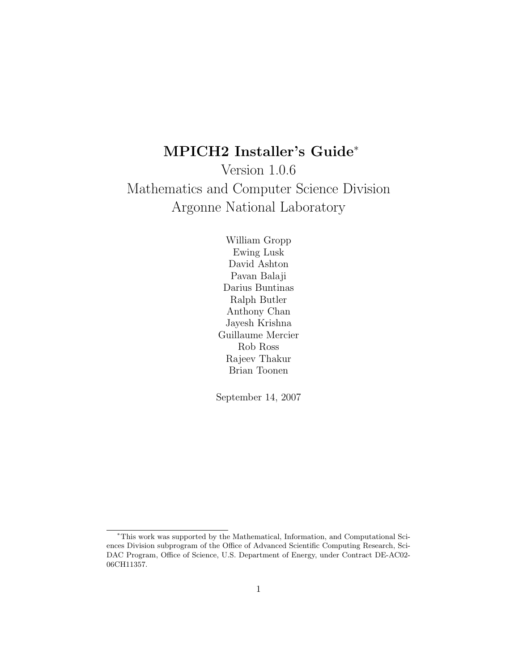# MPICH2 Installer's Guide<sup>∗</sup>

Version 1.0.6 Mathematics and Computer Science Division Argonne National Laboratory

> William Gropp Ewing Lusk David Ashton Pavan Balaji Darius Buntinas Ralph Butler Anthony Chan Jayesh Krishna Guillaume Mercier Rob Ross Rajeev Thakur Brian Toonen

September 14, 2007

<sup>∗</sup>This work was supported by the Mathematical, Information, and Computational Sciences Division subprogram of the Office of Advanced Scientific Computing Research, Sci-DAC Program, Office of Science, U.S. Department of Energy, under Contract DE-AC02- 06CH11357.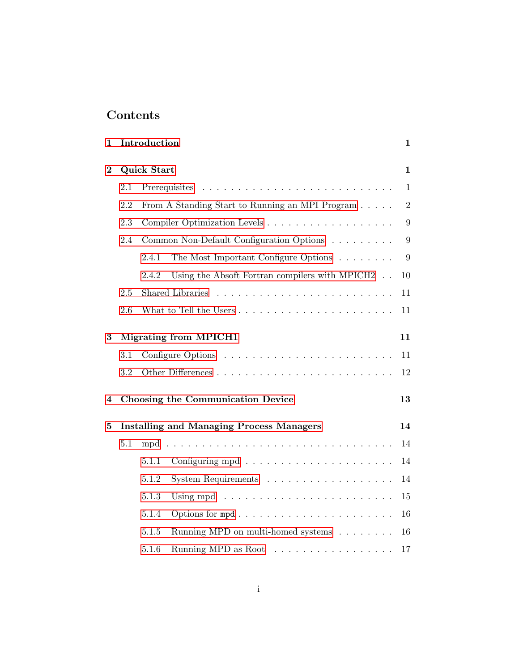# Contents

| $\mathbf{1}$ |                              | Introduction                                                       | $\mathbf{1}$   |  |  |  |
|--------------|------------------------------|--------------------------------------------------------------------|----------------|--|--|--|
| $\bf{2}$     | <b>Quick Start</b>           |                                                                    |                |  |  |  |
|              | 2.1                          |                                                                    | $\mathbf{1}$   |  |  |  |
|              | 2.2                          | From A Standing Start to Running an MPI Program                    | $\overline{2}$ |  |  |  |
|              | 2.3                          |                                                                    | 9              |  |  |  |
|              | 2.4                          | Common Non-Default Configuration Options                           | 9              |  |  |  |
|              |                              | The Most Important Configure Options<br>2.4.1                      | 9              |  |  |  |
|              |                              | Using the Absoft Fortran compilers with MPICH2<br>2.4.2            | 10             |  |  |  |
|              | 2.5                          | Shared Libraries                                                   | 11             |  |  |  |
|              | 2.6                          |                                                                    | 11             |  |  |  |
| 3            | <b>Migrating from MPICH1</b> |                                                                    |                |  |  |  |
|              | 3.1                          |                                                                    | 11             |  |  |  |
|              | 3.2                          |                                                                    | 12             |  |  |  |
| 4            |                              | Choosing the Communication Device                                  | 13             |  |  |  |
| $\bf{5}$     |                              | <b>Installing and Managing Process Managers</b>                    | 14             |  |  |  |
|              | 5.1                          | mpd                                                                | 14             |  |  |  |
|              |                              | 5.1.1                                                              | 14             |  |  |  |
|              |                              | 5.1.2<br>System Requirements                                       | 14             |  |  |  |
|              |                              | 5.1.3                                                              | 15             |  |  |  |
|              |                              | 5.1.4                                                              | 16             |  |  |  |
|              |                              | 5.1.5<br>Running MPD on multi-homed systems                        | 16             |  |  |  |
|              |                              | 5.1.6<br>Running MPD as Root $\dots \dots \dots \dots \dots \dots$ | 17             |  |  |  |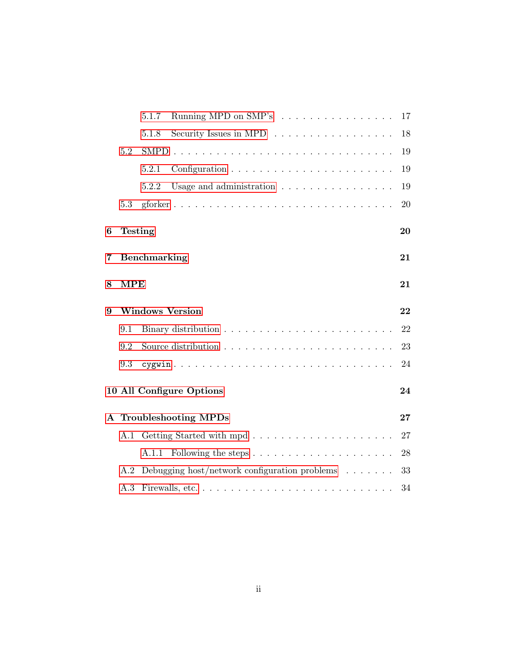|     | Running MPD on SMP's<br>5.1.7                                                       | 17                                                                                                                                |  |  |  |  |  |  |
|-----|-------------------------------------------------------------------------------------|-----------------------------------------------------------------------------------------------------------------------------------|--|--|--|--|--|--|
|     | Security Issues in MPD $\dots \dots \dots \dots \dots$<br>5.1.8                     | 18                                                                                                                                |  |  |  |  |  |  |
| 5.2 |                                                                                     | 19                                                                                                                                |  |  |  |  |  |  |
|     | 5.2.1<br>Configuration $\ldots \ldots \ldots \ldots \ldots \ldots \ldots \ldots$    | 19                                                                                                                                |  |  |  |  |  |  |
|     | 5.2.2<br>Usage and administration $\ldots \ldots \ldots \ldots \ldots$              | 19                                                                                                                                |  |  |  |  |  |  |
| 5.3 |                                                                                     | 20                                                                                                                                |  |  |  |  |  |  |
|     |                                                                                     | 20                                                                                                                                |  |  |  |  |  |  |
|     | 21                                                                                  |                                                                                                                                   |  |  |  |  |  |  |
|     |                                                                                     | 21                                                                                                                                |  |  |  |  |  |  |
|     | 22                                                                                  |                                                                                                                                   |  |  |  |  |  |  |
| 9.1 |                                                                                     | 22                                                                                                                                |  |  |  |  |  |  |
| 9.2 |                                                                                     | 23                                                                                                                                |  |  |  |  |  |  |
| 9.3 |                                                                                     | 24                                                                                                                                |  |  |  |  |  |  |
|     |                                                                                     | 24                                                                                                                                |  |  |  |  |  |  |
|     |                                                                                     | 27                                                                                                                                |  |  |  |  |  |  |
| A.1 |                                                                                     | 27                                                                                                                                |  |  |  |  |  |  |
|     | A.1.1                                                                               | 28                                                                                                                                |  |  |  |  |  |  |
| A.2 | Debugging host/network configuration problems $\ldots \ldots$                       | 33                                                                                                                                |  |  |  |  |  |  |
| A.3 | Firewalls, etc. $\dots \dots \dots \dots \dots \dots \dots \dots \dots \dots \dots$ | 34                                                                                                                                |  |  |  |  |  |  |
|     |                                                                                     | <b>Testing</b><br>Benchmarking<br><b>MPE</b><br><b>Windows Version</b><br>10 All Configure Options<br><b>Troubleshooting MPDs</b> |  |  |  |  |  |  |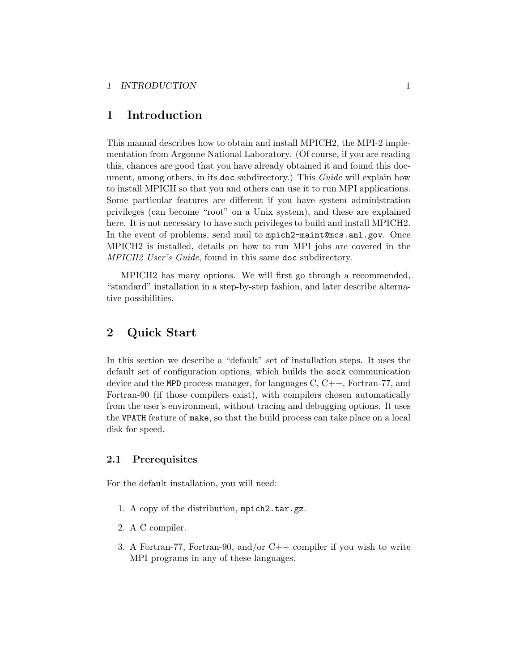# <span id="page-3-0"></span>1 Introduction

This manual describes how to obtain and install MPICH2, the MPI-2 implementation from Argonne National Laboratory. (Of course, if you are reading this, chances are good that you have already obtained it and found this document, among others, in its doc subdirectory.) This Guide will explain how to install MPICH so that you and others can use it to run MPI applications. Some particular features are different if you have system administration privileges (can become "root" on a Unix system), and these are explained here. It is not necessary to have such privileges to build and install MPICH2. In the event of problems, send mail to mpich2-maint@mcs.anl.gov. Once MPICH2 is installed, details on how to run MPI jobs are covered in the MPICH2 User's Guide, found in this same doc subdirectory.

MPICH2 has many options. We will first go through a recommended, "standard" installation in a step-by-step fashion, and later describe alternative possibilities.

# 2 Quick Start

In this section we describe a "default" set of installation steps. It uses the default set of configuration options, which builds the sock communication device and the MPD process manager, for languages  $C, C++,$  Fortran-77, and Fortran-90 (if those compilers exist), with compilers chosen automatically from the user's environment, without tracing and debugging options. It uses the VPATH feature of make, so that the build process can take place on a local disk for speed.

# 2.1 Prerequisites

For the default installation, you will need:

- 1. A copy of the distribution, mpich2.tar.gz.
- 2. A C compiler.
- 3. A Fortran-77, Fortran-90, and/or  $C++$  compiler if you wish to write MPI programs in any of these languages.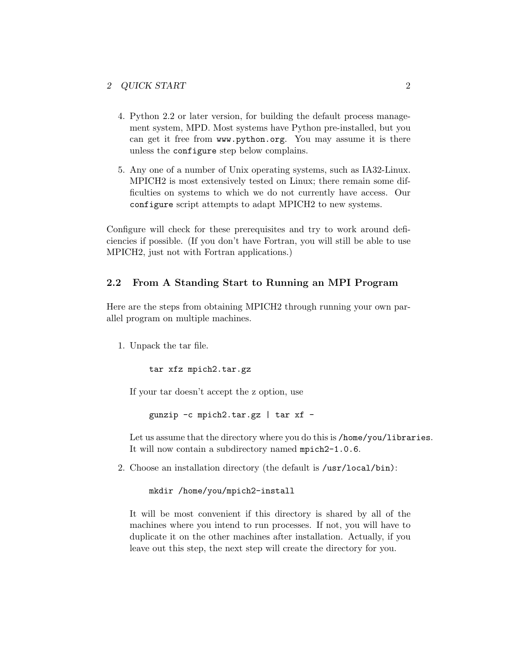- <span id="page-4-0"></span>4. Python 2.2 or later version, for building the default process management system, MPD. Most systems have Python pre-installed, but you can get it free from www.python.org. You may assume it is there unless the configure step below complains.
- 5. Any one of a number of Unix operating systems, such as IA32-Linux. MPICH2 is most extensively tested on Linux; there remain some difficulties on systems to which we do not currently have access. Our configure script attempts to adapt MPICH2 to new systems.

Configure will check for these prerequisites and try to work around deficiencies if possible. (If you don't have Fortran, you will still be able to use MPICH2, just not with Fortran applications.)

### 2.2 From A Standing Start to Running an MPI Program

Here are the steps from obtaining MPICH2 through running your own parallel program on multiple machines.

1. Unpack the tar file.

tar xfz mpich2.tar.gz

If your tar doesn't accept the z option, use

gunzip -c mpich2.tar.gz | tar xf -

Let us assume that the directory where you do this is /home/you/libraries. It will now contain a subdirectory named mpich2-1.0.6.

2. Choose an installation directory (the default is /usr/local/bin):

mkdir /home/you/mpich2-install

It will be most convenient if this directory is shared by all of the machines where you intend to run processes. If not, you will have to duplicate it on the other machines after installation. Actually, if you leave out this step, the next step will create the directory for you.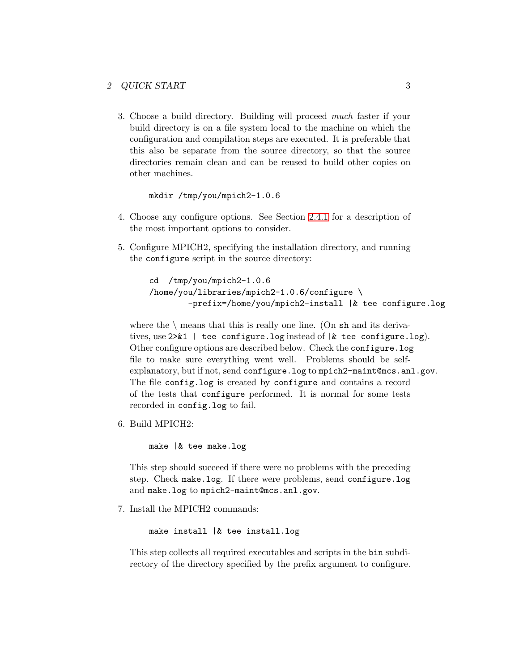3. Choose a build directory. Building will proceed much faster if your build directory is on a file system local to the machine on which the configuration and compilation steps are executed. It is preferable that this also be separate from the source directory, so that the source directories remain clean and can be reused to build other copies on other machines.

mkdir /tmp/you/mpich2-1.0.6

- 4. Choose any configure options. See Section [2.4.1](#page-11-0) for a description of the most important options to consider.
- 5. Configure MPICH2, specifying the installation directory, and running the configure script in the source directory:

```
cd /tmp/you/mpich2-1.0.6
/home/you/libraries/mpich2-1.0.6/configure \
        -prefix=/home/you/mpich2-install |& tee configure.log
```
where the  $\langle$  means that this is really one line. (On sh and its derivatives, use  $2 \times 1$  | tee configure.log instead of  $k$  tee configure.log). Other configure options are described below. Check the configure.log file to make sure everything went well. Problems should be selfexplanatory, but if not, send configure.log to mpich2-maint@mcs.anl.gov. The file config.log is created by configure and contains a record of the tests that configure performed. It is normal for some tests recorded in config.log to fail.

6. Build MPICH2:

make |& tee make.log

This step should succeed if there were no problems with the preceding step. Check make.log. If there were problems, send configure.log and make.log to mpich2-maint@mcs.anl.gov.

7. Install the MPICH2 commands:

make install |& tee install.log

This step collects all required executables and scripts in the bin subdirectory of the directory specified by the prefix argument to configure.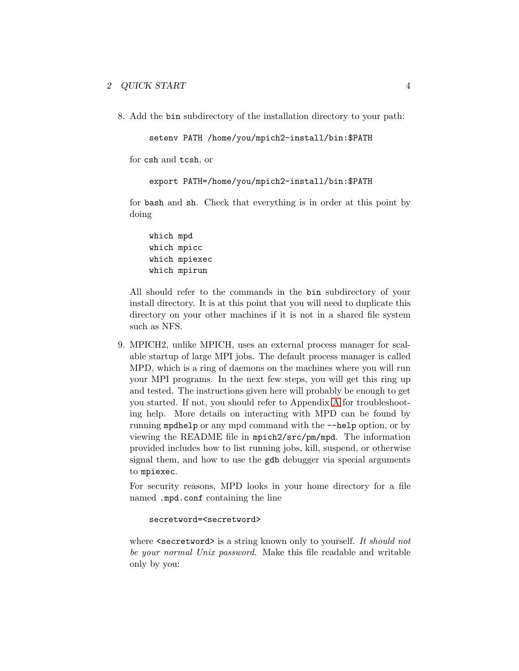8. Add the bin subdirectory of the installation directory to your path:

```
setenv PATH /home/you/mpich2-install/bin:$PATH
```
for csh and tcsh, or

```
export PATH=/home/you/mpich2-install/bin:$PATH
```
for bash and sh. Check that everything is in order at this point by doing

```
which mpd
which mpicc
which mpiexec
which mpirun
```
All should refer to the commands in the bin subdirectory of your install directory. It is at this point that you will need to duplicate this directory on your other machines if it is not in a shared file system such as NFS.

9. MPICH2, unlike MPICH, uses an external process manager for scalable startup of large MPI jobs. The default process manager is called MPD, which is a ring of daemons on the machines where you will run your MPI programs. In the next few steps, you will get this ring up and tested. The instructions given here will probably be enough to get you started. If not, you should refer to Appendix [A](#page-29-0) for troubleshooting help. More details on interacting with MPD can be found by running mpdhelp or any mpd command with the --help option, or by viewing the README file in mpich2/src/pm/mpd. The information provided includes how to list running jobs, kill, suspend, or otherwise signal them, and how to use the gdb debugger via special arguments to mpiexec.

For security reasons, MPD looks in your home directory for a file named .mpd.conf containing the line

#### secretword=<secretword>

where  $\leq$  secretword> is a string known only to yourself. It should not be your normal Unix password. Make this file readable and writable only by you: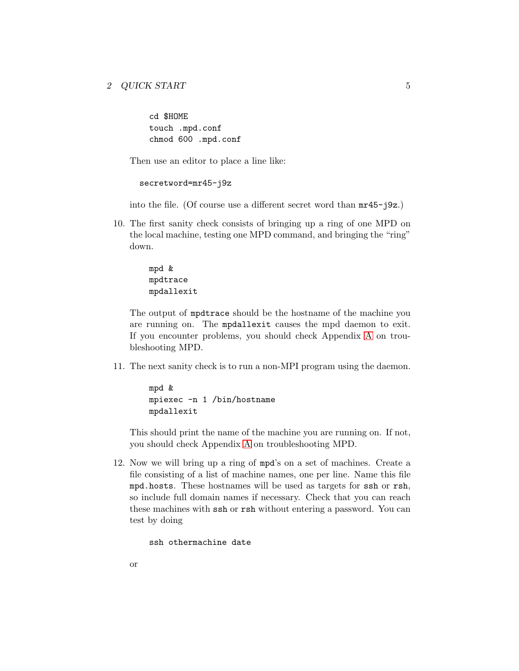cd \$HOME touch .mpd.conf chmod 600 .mpd.conf

Then use an editor to place a line like:

secretword=mr45-j9z

into the file. (Of course use a different secret word than mr45-j9z.)

10. The first sanity check consists of bringing up a ring of one MPD on the local machine, testing one MPD command, and bringing the "ring" down.

> mpd & mpdtrace mpdallexit

The output of mpdtrace should be the hostname of the machine you are running on. The mpdallexit causes the mpd daemon to exit. If you encounter problems, you should check Appendix [A](#page-29-0) on troubleshooting MPD.

11. The next sanity check is to run a non-MPI program using the daemon.

```
mpd &
mpiexec -n 1 /bin/hostname
mpdallexit
```
This should print the name of the machine you are running on. If not, you should check Appendix [A](#page-29-0) on troubleshooting MPD.

12. Now we will bring up a ring of mpd's on a set of machines. Create a file consisting of a list of machine names, one per line. Name this file mpd.hosts. These hostnames will be used as targets for ssh or rsh, so include full domain names if necessary. Check that you can reach these machines with ssh or rsh without entering a password. You can test by doing

```
ssh othermachine date
```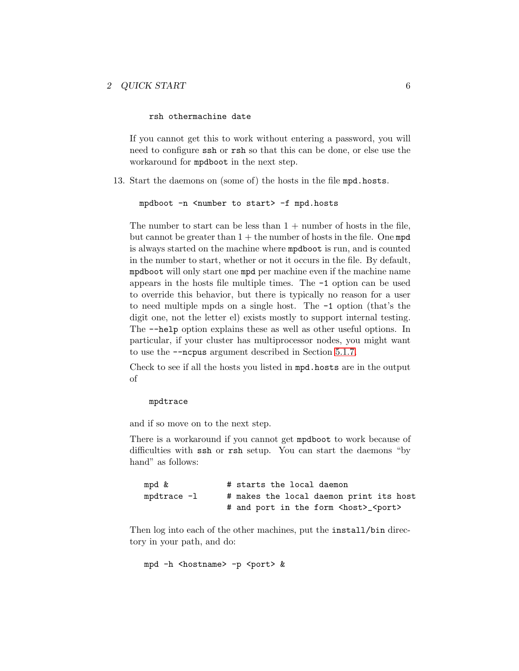rsh othermachine date

If you cannot get this to work without entering a password, you will need to configure ssh or rsh so that this can be done, or else use the workaround for mpdboot in the next step.

13. Start the daemons on (some of) the hosts in the file mpd.hosts.

```
mpdboot -n <number to start> -f mpd.hosts
```
The number to start can be less than  $1 +$  number of hosts in the file, but cannot be greater than  $1 +$  the number of hosts in the file. One mpd is always started on the machine where mpdboot is run, and is counted in the number to start, whether or not it occurs in the file. By default, mpdboot will only start one mpd per machine even if the machine name appears in the hosts file multiple times. The -1 option can be used to override this behavior, but there is typically no reason for a user to need multiple mpds on a single host. The -1 option (that's the digit one, not the letter el) exists mostly to support internal testing. The --help option explains these as well as other useful options. In particular, if your cluster has multiprocessor nodes, you might want to use the --ncpus argument described in Section [5.1.7.](#page-19-0)

Check to see if all the hosts you listed in mpd.hosts are in the output of

### mpdtrace

and if so move on to the next step.

There is a workaround if you cannot get mpdboot to work because of difficulties with ssh or rsh setup. You can start the daemons "by hand" as follows:

| mpd &            | # starts the local daemon                          |
|------------------|----------------------------------------------------|
| $m$ pdtrace $-1$ | # makes the local daemon print its host            |
|                  | # and port in the form <host>_<port></port></host> |

Then log into each of the other machines, put the install/bin directory in your path, and do:

```
mpd -h <hostname> -p <port> &
```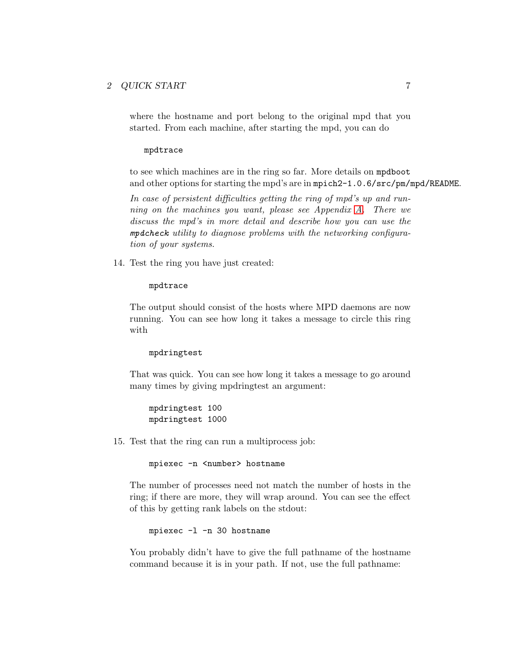### 2 QUICK START 7

where the hostname and port belong to the original mpd that you started. From each machine, after starting the mpd, you can do

#### mpdtrace

to see which machines are in the ring so far. More details on mpdboot and other options for starting the mpd's are in mpich2-1.0.6/src/pm/mpd/README.

In case of persistent difficulties getting the ring of mpd's up and running on the machines you want, please see Appendix [A.](#page-29-0) There we discuss the mpd's in more detail and describe how you can use the mpdcheck utility to diagnose problems with the networking configuration of your systems.

14. Test the ring you have just created:

#### mpdtrace

The output should consist of the hosts where MPD daemons are now running. You can see how long it takes a message to circle this ring with

#### mpdringtest

That was quick. You can see how long it takes a message to go around many times by giving mpdringtest an argument:

mpdringtest 100 mpdringtest 1000

15. Test that the ring can run a multiprocess job:

```
mpiexec -n <number> hostname
```
The number of processes need not match the number of hosts in the ring; if there are more, they will wrap around. You can see the effect of this by getting rank labels on the stdout:

```
mpiexec -l -n 30 hostname
```
You probably didn't have to give the full pathname of the hostname command because it is in your path. If not, use the full pathname: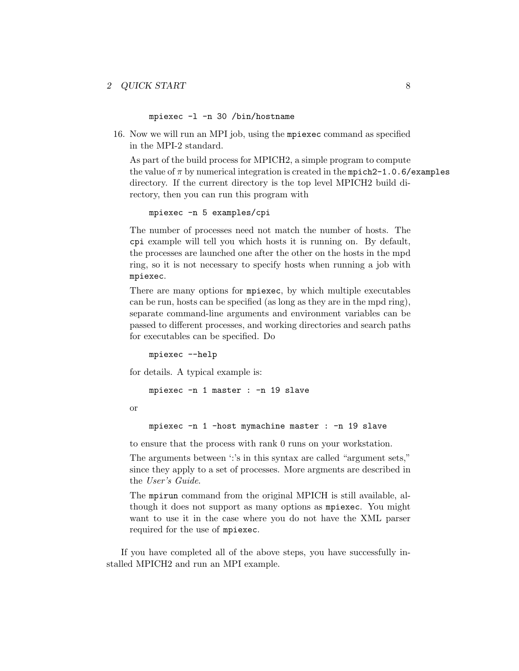mpiexec -l -n 30 /bin/hostname

16. Now we will run an MPI job, using the mpiexec command as specified in the MPI-2 standard.

As part of the build process for MPICH2, a simple program to compute the value of  $\pi$  by numerical integration is created in the mpich2-1.0.6/examples directory. If the current directory is the top level MPICH2 build directory, then you can run this program with

mpiexec -n 5 examples/cpi

The number of processes need not match the number of hosts. The cpi example will tell you which hosts it is running on. By default, the processes are launched one after the other on the hosts in the mpd ring, so it is not necessary to specify hosts when running a job with mpiexec.

There are many options for mpiexec, by which multiple executables can be run, hosts can be specified (as long as they are in the mpd ring), separate command-line arguments and environment variables can be passed to different processes, and working directories and search paths for executables can be specified. Do

mpiexec --help

for details. A typical example is:

mpiexec -n 1 master : -n 19 slave

or

mpiexec -n 1 -host mymachine master : -n 19 slave

to ensure that the process with rank 0 runs on your workstation.

The arguments between ':'s in this syntax are called "argument sets," since they apply to a set of processes. More argments are described in the User's Guide.

The mpirun command from the original MPICH is still available, although it does not support as many options as mpiexec. You might want to use it in the case where you do not have the XML parser required for the use of mpiexec.

If you have completed all of the above steps, you have successfully installed MPICH2 and run an MPI example.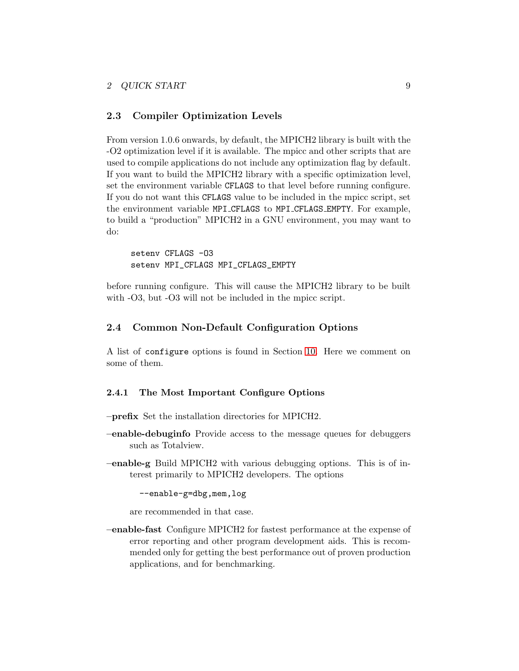# <span id="page-11-0"></span>2.3 Compiler Optimization Levels

From version 1.0.6 onwards, by default, the MPICH2 library is built with the -O2 optimization level if it is available. The mpicc and other scripts that are used to compile applications do not include any optimization flag by default. If you want to build the MPICH2 library with a specific optimization level, set the environment variable CFLAGS to that level before running configure. If you do not want this CFLAGS value to be included in the mpicc script, set the environment variable MPI CFLAGS to MPI CFLAGS EMPTY. For example, to build a "production" MPICH2 in a GNU environment, you may want to do:

```
seteny CFLAGS -03
setenv MPI_CFLAGS MPI_CFLAGS_EMPTY
```
before running configure. This will cause the MPICH2 library to be built with  $-O3$ , but  $-O3$  will not be included in the mpicc script.

# 2.4 Common Non-Default Configuration Options

A list of configure options is found in Section [10.](#page-26-0) Here we comment on some of them.

#### 2.4.1 The Most Important Configure Options

- –prefix Set the installation directories for MPICH2.
- –enable-debuginfo Provide access to the message queues for debuggers such as Totalview.
- –enable-g Build MPICH2 with various debugging options. This is of interest primarily to MPICH2 developers. The options

--enable-g=dbg,mem,log

are recommended in that case.

–enable-fast Configure MPICH2 for fastest performance at the expense of error reporting and other program development aids. This is recommended only for getting the best performance out of proven production applications, and for benchmarking.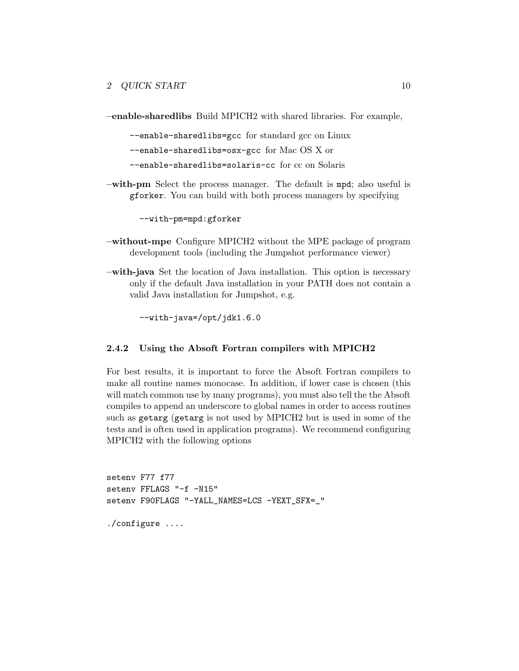<span id="page-12-0"></span>–enable-sharedlibs Build MPICH2 with shared libraries. For example,

--enable-sharedlibs=gcc for standard gcc on Linux --enable-sharedlibs=osx-gcc for Mac OS X or --enable-sharedlibs=solaris-cc for cc on Solaris

–with-pm Select the process manager. The default is mpd; also useful is gforker. You can build with both process managers by specifying

--with-pm=mpd:gforker

- –without-mpe Configure MPICH2 without the MPE package of program development tools (including the Jumpshot performance viewer)
- –with-java Set the location of Java installation. This option is necessary only if the default Java installation in your PATH does not contain a valid Java installation for Jumpshot, e.g.

--with-java=/opt/jdk1.6.0

### 2.4.2 Using the Absoft Fortran compilers with MPICH2

For best results, it is important to force the Absoft Fortran compilers to make all routine names monocase. In addition, if lower case is chosen (this will match common use by many programs), you must also tell the the Absoft compiles to append an underscore to global names in order to access routines such as getarg (getarg is not used by MPICH2 but is used in some of the tests and is often used in application programs). We recommend configuring MPICH2 with the following options

```
setenv F77 f77
setenv FFLAGS "-f -N15"
setenv F90FLAGS "-YALL_NAMES=LCS -YEXT_SFX=_"
./configure ....
```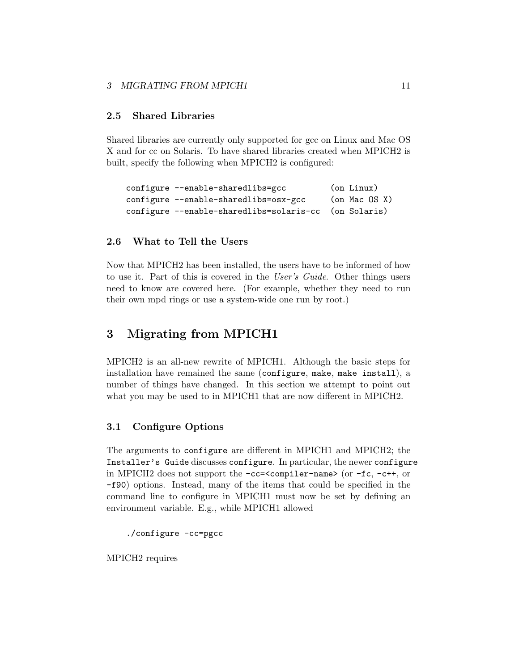### <span id="page-13-0"></span>3 MIGRATING FROM MPICH1 11

# 2.5 Shared Libraries

Shared libraries are currently only supported for gcc on Linux and Mac OS X and for cc on Solaris. To have shared libraries created when MPICH2 is built, specify the following when MPICH2 is configured:

```
configure --enable-sharedlibs=gcc (on Linux)
configure --enable-sharedlibs=osx-gcc (on Mac OS X)
configure --enable-sharedlibs=solaris-cc (on Solaris)
```
# 2.6 What to Tell the Users

Now that MPICH2 has been installed, the users have to be informed of how to use it. Part of this is covered in the User's Guide. Other things users need to know are covered here. (For example, whether they need to run their own mpd rings or use a system-wide one run by root.)

# 3 Migrating from MPICH1

MPICH2 is an all-new rewrite of MPICH1. Although the basic steps for installation have remained the same (configure, make, make install), a number of things have changed. In this section we attempt to point out what you may be used to in MPICH1 that are now different in MPICH2.

## 3.1 Configure Options

The arguments to configure are different in MPICH1 and MPICH2; the Installer's Guide discusses configure. In particular, the newer configure in MPICH2 does not support the  $-cc = \text{componenter}-name > (or -fc, -c++)$ , or -f90) options. Instead, many of the items that could be specified in the command line to configure in MPICH1 must now be set by defining an environment variable. E.g., while MPICH1 allowed

./configure -cc=pgcc

MPICH2 requires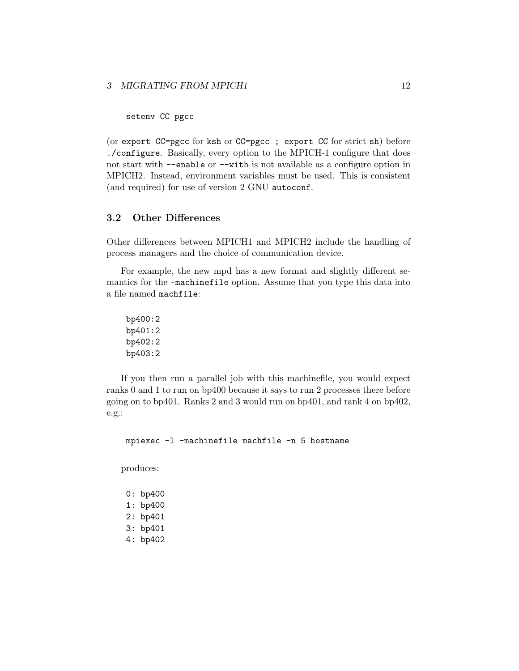<span id="page-14-0"></span>setenv CC pgcc

(or export CC=pgcc for ksh or CC=pgcc ; export CC for strict sh) before ./configure. Basically, every option to the MPICH-1 configure that does not start with --enable or --with is not available as a configure option in MPICH2. Instead, environment variables must be used. This is consistent (and required) for use of version 2 GNU autoconf.

# 3.2 Other Differences

Other differences between MPICH1 and MPICH2 include the handling of process managers and the choice of communication device.

For example, the new mpd has a new format and slightly different semantics for the -machinefile option. Assume that you type this data into a file named machfile:

bp400:2 bp401:2 bp402:2 bp403:2

If you then run a parallel job with this machinefile, you would expect ranks 0 and 1 to run on bp400 because it says to run 2 processes there before going on to bp401. Ranks 2 and 3 would run on bp401, and rank 4 on bp402, e.g.:

mpiexec -l -machinefile machfile -n 5 hostname

produces:

0: bp400 1: bp400 2: bp401 3: bp401 4: bp402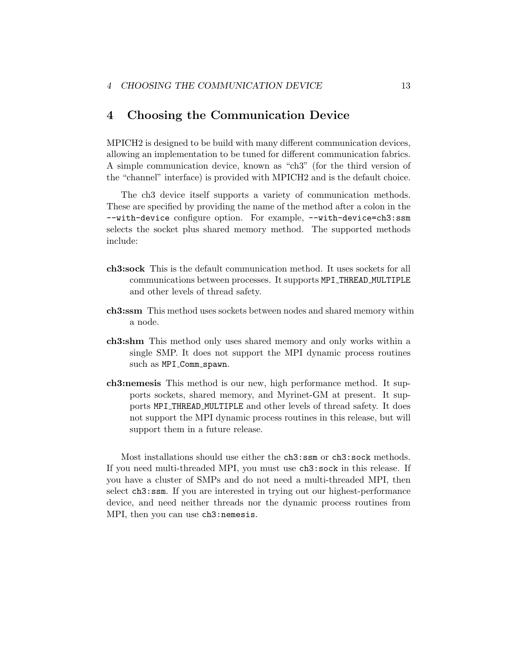# <span id="page-15-0"></span>4 Choosing the Communication Device

MPICH2 is designed to be build with many different communication devices, allowing an implementation to be tuned for different communication fabrics. A simple communication device, known as "ch3" (for the third version of the "channel" interface) is provided with MPICH2 and is the default choice.

The ch3 device itself supports a variety of communication methods. These are specified by providing the name of the method after a colon in the --with-device configure option. For example, --with-device=ch3:ssm selects the socket plus shared memory method. The supported methods include:

- ch3:sock This is the default communication method. It uses sockets for all communications between processes. It supports MPI THREAD MULTIPLE and other levels of thread safety.
- ch3:ssm This method uses sockets between nodes and shared memory within a node.
- ch3:shm This method only uses shared memory and only works within a single SMP. It does not support the MPI dynamic process routines such as MPI\_Comm\_spawn.
- ch3:nemesis This method is our new, high performance method. It supports sockets, shared memory, and Myrinet-GM at present. It supports MPI THREAD MULTIPLE and other levels of thread safety. It does not support the MPI dynamic process routines in this release, but will support them in a future release.

Most installations should use either the ch3:ssm or ch3:sock methods. If you need multi-threaded MPI, you must use ch3:sock in this release. If you have a cluster of SMPs and do not need a multi-threaded MPI, then select ch3:ssm. If you are interested in trying out our highest-performance device, and need neither threads nor the dynamic process routines from MPI, then you can use ch3:nemesis.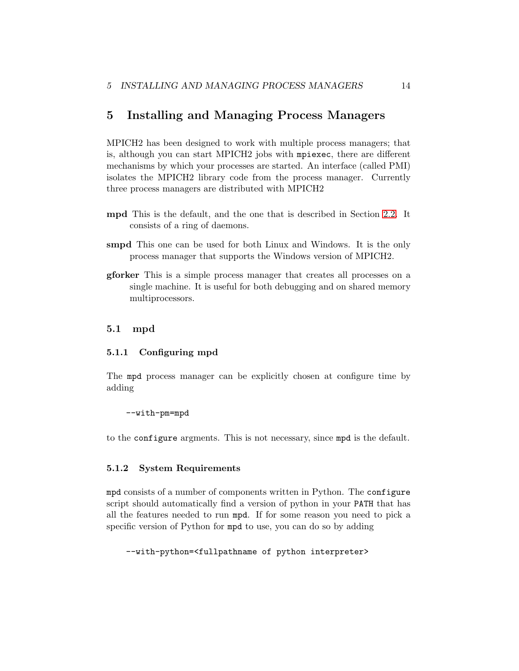# <span id="page-16-0"></span>5 Installing and Managing Process Managers

MPICH2 has been designed to work with multiple process managers; that is, although you can start MPICH2 jobs with mpiexec, there are different mechanisms by which your processes are started. An interface (called PMI) isolates the MPICH2 library code from the process manager. Currently three process managers are distributed with MPICH2

- mpd This is the default, and the one that is described in Section [2.2.](#page-4-0) It consists of a ring of daemons.
- smpd This one can be used for both Linux and Windows. It is the only process manager that supports the Windows version of MPICH2.
- gforker This is a simple process manager that creates all processes on a single machine. It is useful for both debugging and on shared memory multiprocessors.

### 5.1 mpd

#### 5.1.1 Configuring mpd

The mpd process manager can be explicitly chosen at configure time by adding

#### --with-pm=mpd

to the configure argments. This is not necessary, since mpd is the default.

#### 5.1.2 System Requirements

mpd consists of a number of components written in Python. The configure script should automatically find a version of python in your PATH that has all the features needed to run mpd. If for some reason you need to pick a specific version of Python for mpd to use, you can do so by adding

```
--with-python=<fullpathname of python interpreter>
```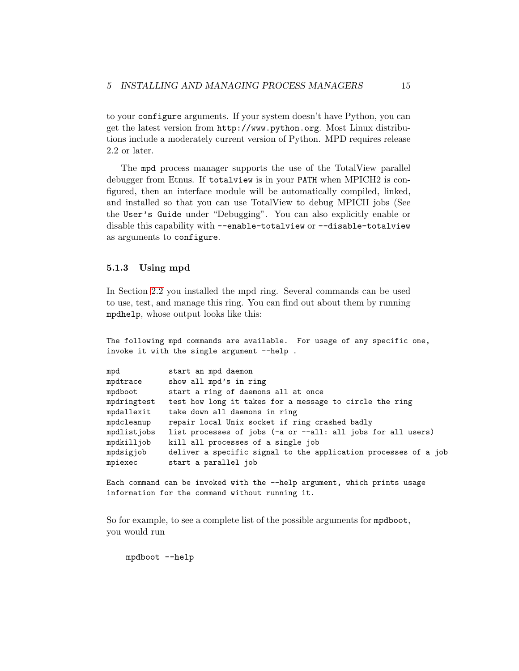<span id="page-17-0"></span>to your configure arguments. If your system doesn't have Python, you can get the latest version from http://www.python.org. Most Linux distributions include a moderately current version of Python. MPD requires release 2.2 or later.

The mpd process manager supports the use of the TotalView parallel debugger from Etnus. If totalview is in your PATH when MPICH2 is configured, then an interface module will be automatically compiled, linked, and installed so that you can use TotalView to debug MPICH jobs (See the User's Guide under "Debugging". You can also explicitly enable or disable this capability with --enable-totalview or --disable-totalview as arguments to configure.

#### 5.1.3 Using mpd

In Section [2.2](#page-4-0) you installed the mpd ring. Several commands can be used to use, test, and manage this ring. You can find out about them by running mpdhelp, whose output looks like this:

The following mpd commands are available. For usage of any specific one, invoke it with the single argument --help.

| mpd         | start an mpd daemon                                             |
|-------------|-----------------------------------------------------------------|
| mpdtrace    | show all mpd's in ring                                          |
| mpdboot     | start a ring of daemons all at once                             |
| mpdringtest | test how long it takes for a message to circle the ring         |
| mpdallexit  | take down all daemons in ring                                   |
| mpdcleanup  | repair local Unix socket if ring crashed badly                  |
| mpdlistjobs | list processes of jobs (-a or --all: all jobs for all users)    |
| mpdkilljob  | kill all processes of a single job                              |
| mpdsigjob   | deliver a specific signal to the application processes of a job |
| mpiexec     | start a parallel job                                            |
|             |                                                                 |

Each command can be invoked with the --help argument, which prints usage information for the command without running it.

So for example, to see a complete list of the possible arguments for mpdboot, you would run

mpdboot --help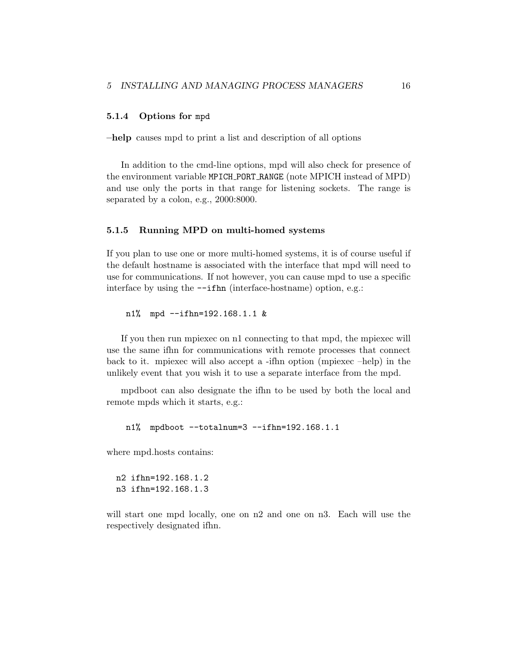### <span id="page-18-0"></span>5.1.4 Options for mpd

–help causes mpd to print a list and description of all options

In addition to the cmd-line options, mpd will also check for presence of the environment variable MPICH PORT RANGE (note MPICH instead of MPD) and use only the ports in that range for listening sockets. The range is separated by a colon, e.g., 2000:8000.

#### 5.1.5 Running MPD on multi-homed systems

If you plan to use one or more multi-homed systems, it is of course useful if the default hostname is associated with the interface that mpd will need to use for communications. If not however, you can cause mpd to use a specific interface by using the --ifhn (interface-hostname) option, e.g.:

n1% mpd --ifhn=192.168.1.1 &

If you then run mpiexec on n1 connecting to that mpd, the mpiexec will use the same ifhn for communications with remote processes that connect back to it. mpiexec will also accept a -ifhn option (mpiexec –help) in the unlikely event that you wish it to use a separate interface from the mpd.

mpdboot can also designate the ifhn to be used by both the local and remote mpds which it starts, e.g.:

```
n1% mpdboot --totalnum=3 --ifhn=192.168.1.1
```
where mpd.hosts contains:

```
n2 ifhn=192.168.1.2
n3 ifhn=192.168.1.3
```
will start one mpd locally, one on n2 and one on n3. Each will use the respectively designated ifhn.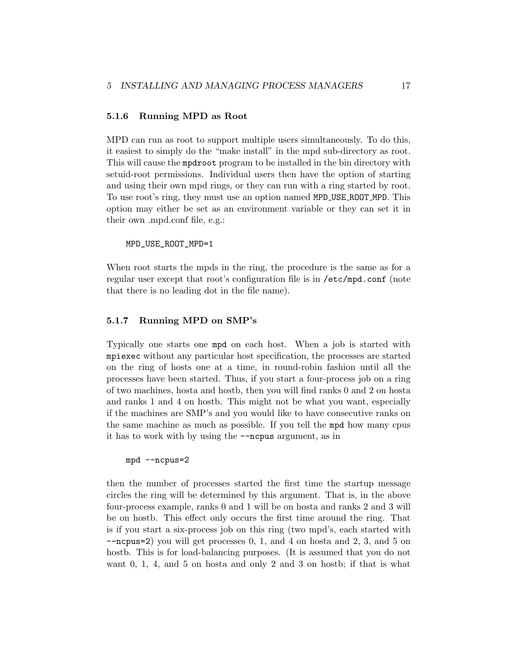### <span id="page-19-0"></span>5.1.6 Running MPD as Root

MPD can run as root to support multiple users simultaneously. To do this, it easiest to simply do the "make install" in the mpd sub-directory as root. This will cause the mpdroot program to be installed in the bin directory with setuid-root permissions. Individual users then have the option of starting and using their own mpd rings, or they can run with a ring started by root. To use root's ring, they must use an option named MPD USE ROOT MPD. This option may either be set as an environment variable or they can set it in their own .mpd.conf file, e.g.:

MPD\_USE\_ROOT\_MPD=1

When root starts the mpds in the ring, the procedure is the same as for a regular user except that root's configuration file is in /etc/mpd.conf (note that there is no leading dot in the file name).

# 5.1.7 Running MPD on SMP's

Typically one starts one mpd on each host. When a job is started with mpiexec without any particular host specification, the processes are started on the ring of hosts one at a time, in round-robin fashion until all the processes have been started. Thus, if you start a four-process job on a ring of two machines, hosta and hostb, then you will find ranks 0 and 2 on hosta and ranks 1 and 4 on hostb. This might not be what you want, especially if the machines are SMP's and you would like to have consecutive ranks on the same machine as much as possible. If you tell the mpd how many cpus it has to work with by using the --ncpus argument, as in

#### mpd --ncpus=2

then the number of processes started the first time the startup message circles the ring will be determined by this argument. That is, in the above four-process example, ranks 0 and 1 will be on hosta and ranks 2 and 3 will be on hostb. This effect only occurs the first time around the ring. That is if you start a six-process job on this ring (two mpd's, each started with --ncpus=2) you will get processes 0, 1, and 4 on hosta and 2, 3, and 5 on hostb. This is for load-balancing purposes. (It is assumed that you do not want 0, 1, 4, and 5 on hosta and only 2 and 3 on hostb; if that is what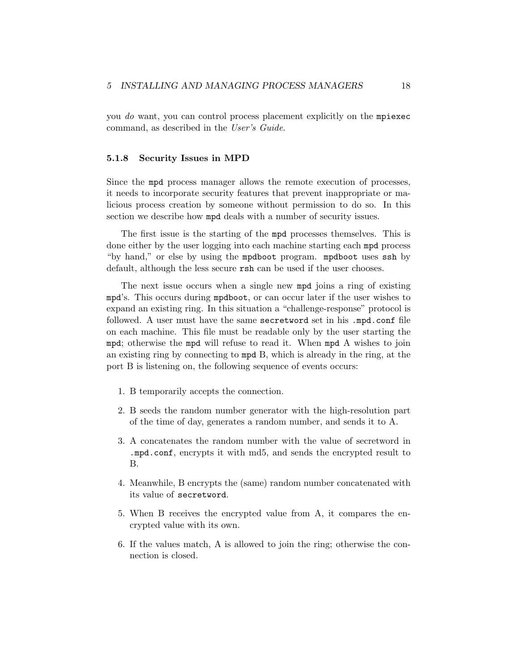<span id="page-20-0"></span>you do want, you can control process placement explicitly on the mpiexec command, as described in the User's Guide.

#### 5.1.8 Security Issues in MPD

Since the mpd process manager allows the remote execution of processes, it needs to incorporate security features that prevent inappropriate or malicious process creation by someone without permission to do so. In this section we describe how mpd deals with a number of security issues.

The first issue is the starting of the mpd processes themselves. This is done either by the user logging into each machine starting each mpd process "by hand," or else by using the mpdboot program. mpdboot uses ssh by default, although the less secure rsh can be used if the user chooses.

The next issue occurs when a single new mpd joins a ring of existing mpd's. This occurs during mpdboot, or can occur later if the user wishes to expand an existing ring. In this situation a "challenge-response" protocol is followed. A user must have the same secretword set in his .mpd.conf file on each machine. This file must be readable only by the user starting the mpd; otherwise the mpd will refuse to read it. When mpd A wishes to join an existing ring by connecting to mpd B, which is already in the ring, at the port B is listening on, the following sequence of events occurs:

- 1. B temporarily accepts the connection.
- 2. B seeds the random number generator with the high-resolution part of the time of day, generates a random number, and sends it to A.
- 3. A concatenates the random number with the value of secretword in .mpd.conf, encrypts it with md5, and sends the encrypted result to B.
- 4. Meanwhile, B encrypts the (same) random number concatenated with its value of secretword.
- 5. When B receives the encrypted value from A, it compares the encrypted value with its own.
- 6. If the values match, A is allowed to join the ring; otherwise the connection is closed.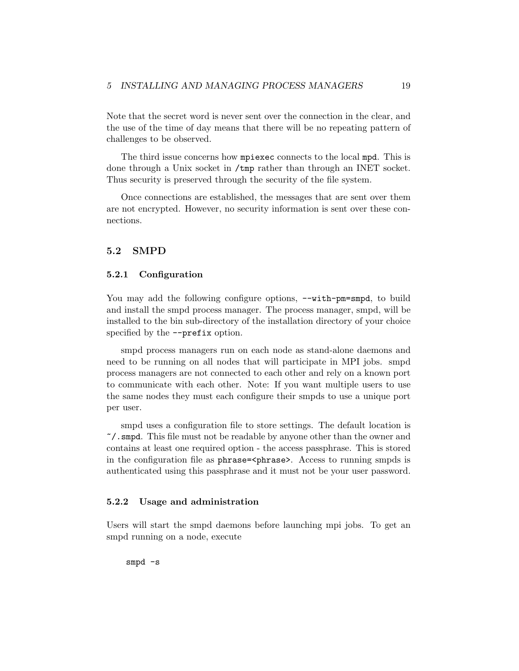<span id="page-21-0"></span>Note that the secret word is never sent over the connection in the clear, and the use of the time of day means that there will be no repeating pattern of challenges to be observed.

The third issue concerns how mpiexec connects to the local mpd. This is done through a Unix socket in /tmp rather than through an INET socket. Thus security is preserved through the security of the file system.

Once connections are established, the messages that are sent over them are not encrypted. However, no security information is sent over these connections.

# 5.2 SMPD

### 5.2.1 Configuration

You may add the following configure options,  $-\text{with-pm=smpd}$ , to build and install the smpd process manager. The process manager, smpd, will be installed to the bin sub-directory of the installation directory of your choice specified by the  $\text{-prefix option}$ .

smpd process managers run on each node as stand-alone daemons and need to be running on all nodes that will participate in MPI jobs. smpd process managers are not connected to each other and rely on a known port to communicate with each other. Note: If you want multiple users to use the same nodes they must each configure their smpds to use a unique port per user.

smpd uses a configuration file to store settings. The default location is ~/.smpd. This file must not be readable by anyone other than the owner and contains at least one required option - the access passphrase. This is stored in the configuration file as phrase=<phrase>. Access to running smpds is authenticated using this passphrase and it must not be your user password.

#### 5.2.2 Usage and administration

Users will start the smpd daemons before launching mpi jobs. To get an smpd running on a node, execute

smpd -s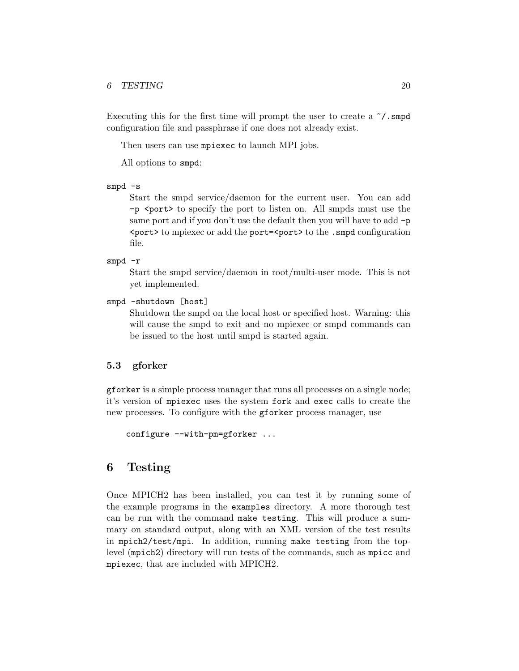#### <span id="page-22-0"></span>6 TESTING 20

Executing this for the first time will prompt the user to create a  $\gamma$ . smpd configuration file and passphrase if one does not already exist.

Then users can use mpiexec to launch MPI jobs.

All options to smpd:

```
smpd -s
```
Start the smpd service/daemon for the current user. You can add -p <port> to specify the port to listen on. All smpds must use the same port and if you don't use the default then you will have to add  $-p$ <port> to mpiexec or add the port=<port> to the .smpd configuration file.

smpd -r

Start the smpd service/daemon in root/multi-user mode. This is not yet implemented.

```
smpd -shutdown [host]
```
Shutdown the smpd on the local host or specified host. Warning: this will cause the smpd to exit and no mpiexec or smpd commands can be issued to the host until smpd is started again.

# 5.3 gforker

gforker is a simple process manager that runs all processes on a single node; it's version of mpiexec uses the system fork and exec calls to create the new processes. To configure with the gforker process manager, use

```
configure --with-pm=gforker ...
```
# 6 Testing

Once MPICH2 has been installed, you can test it by running some of the example programs in the examples directory. A more thorough test can be run with the command make testing. This will produce a summary on standard output, along with an XML version of the test results in mpich2/test/mpi. In addition, running make testing from the toplevel (mpich2) directory will run tests of the commands, such as mpicc and mpiexec, that are included with MPICH2.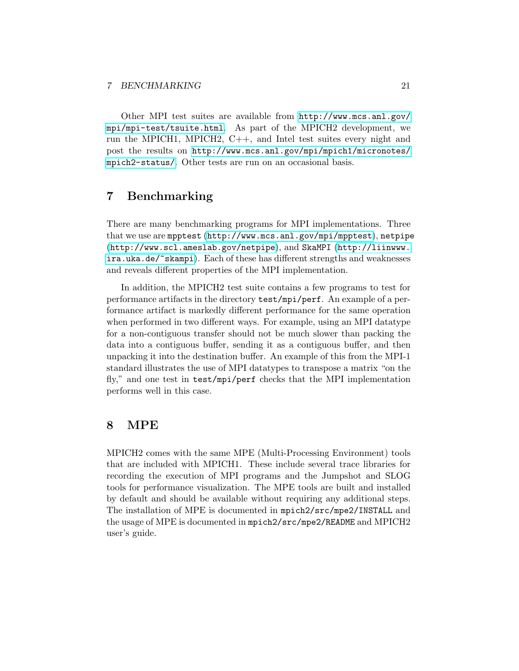<span id="page-23-0"></span>Other MPI test suites are available from [http://www.mcs.anl.gov/](http://www.mcs.anl.gov/mpi/mpi-test/tsuite.html) [mpi/mpi-test/tsuite.html](http://www.mcs.anl.gov/mpi/mpi-test/tsuite.html). As part of the MPICH2 development, we run the MPICH1, MPICH2, C++, and Intel test suites every night and post the results on [http://www.mcs.anl.gov/mpi/mpich1/micronotes/](http://www.mcs.anl.gov/mpi/mpich1/micronotes/mpich2-status/) [mpich2-status/](http://www.mcs.anl.gov/mpi/mpich1/micronotes/mpich2-status/). Other tests are run on an occasional basis.

# 7 Benchmarking

There are many benchmarking programs for MPI implementations. Three that we use are mpptest (<http://www.mcs.anl.gov/mpi/mpptest>), netpipe (<http://www.scl.ameslab.gov/netpipe>), and SkaMPI ([http://liinwww.](http://liinwww.ira.uka.de/~skampi) [ira.uka.de/~skampi](http://liinwww.ira.uka.de/~skampi)). Each of these has different strengths and weaknesses and reveals different properties of the MPI implementation.

In addition, the MPICH2 test suite contains a few programs to test for performance artifacts in the directory test/mpi/perf. An example of a performance artifact is markedly different performance for the same operation when performed in two different ways. For example, using an MPI datatype for a non-contiguous transfer should not be much slower than packing the data into a contiguous buffer, sending it as a contiguous buffer, and then unpacking it into the destination buffer. An example of this from the MPI-1 standard illustrates the use of MPI datatypes to transpose a matrix "on the fly," and one test in test/mpi/perf checks that the MPI implementation performs well in this case.

# 8 MPE

MPICH2 comes with the same MPE (Multi-Processing Environment) tools that are included with MPICH1. These include several trace libraries for recording the execution of MPI programs and the Jumpshot and SLOG tools for performance visualization. The MPE tools are built and installed by default and should be available without requiring any additional steps. The installation of MPE is documented in mpich2/src/mpe2/INSTALL and the usage of MPE is documented in mpich2/src/mpe2/README and MPICH2 user's guide.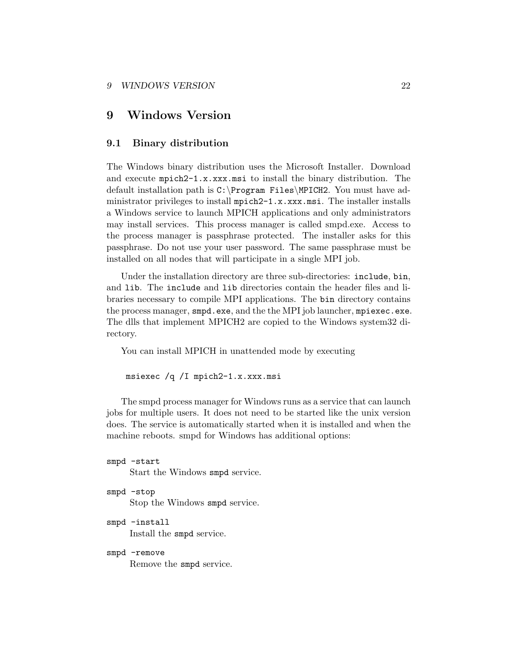#### <span id="page-24-0"></span>9 WINDOWS VERSION 22

# 9 Windows Version

### 9.1 Binary distribution

The Windows binary distribution uses the Microsoft Installer. Download and execute mpich2-1.x.xxx.msi to install the binary distribution. The default installation path is C:\Program Files\MPICH2. You must have administrator privileges to install mpich2-1.x.xxx.msi. The installer installs a Windows service to launch MPICH applications and only administrators may install services. This process manager is called smpd.exe. Access to the process manager is passphrase protected. The installer asks for this passphrase. Do not use your user password. The same passphrase must be installed on all nodes that will participate in a single MPI job.

Under the installation directory are three sub-directories: include, bin, and lib. The include and lib directories contain the header files and libraries necessary to compile MPI applications. The bin directory contains the process manager, smpd.exe, and the the MPI job launcher, mpiexec.exe. The dlls that implement MPICH2 are copied to the Windows system32 directory.

You can install MPICH in unattended mode by executing

msiexec /q /I mpich2-1.x.xxx.msi

The smpd process manager for Windows runs as a service that can launch jobs for multiple users. It does not need to be started like the unix version does. The service is automatically started when it is installed and when the machine reboots. smpd for Windows has additional options:

```
smpd -start
     Start the Windows smpd service.
smpd -stop
     Stop the Windows smpd service.
```
smpd -install Install the smpd service.

smpd -remove

Remove the smpd service.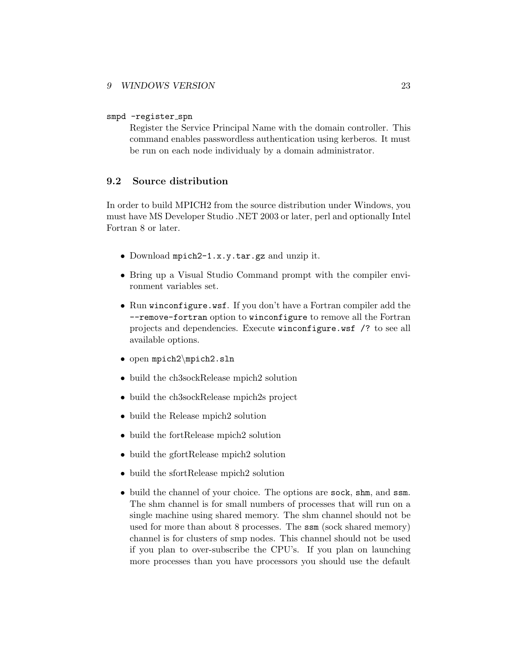### <span id="page-25-0"></span>smpd -register\_spn

Register the Service Principal Name with the domain controller. This command enables passwordless authentication using kerberos. It must be run on each node individualy by a domain administrator.

# 9.2 Source distribution

In order to build MPICH2 from the source distribution under Windows, you must have MS Developer Studio .NET 2003 or later, perl and optionally Intel Fortran 8 or later.

- Download mpich2-1.x.y.tar.gz and unzip it.
- Bring up a Visual Studio Command prompt with the compiler environment variables set.
- Run winconfigure.wsf. If you don't have a Fortran compiler add the --remove-fortran option to winconfigure to remove all the Fortran projects and dependencies. Execute winconfigure.wsf /? to see all available options.
- open mpich2\mpich2.sln
- build the ch3sockRelease mpich2 solution
- build the ch3sockRelease mpich2s project
- build the Release mpich2 solution
- build the fortRelease mpich2 solution
- build the gfortRelease mpich2 solution
- build the sfortRelease mpich2 solution
- build the channel of your choice. The options are sock, shm, and ssm. The shm channel is for small numbers of processes that will run on a single machine using shared memory. The shm channel should not be used for more than about 8 processes. The ssm (sock shared memory) channel is for clusters of smp nodes. This channel should not be used if you plan to over-subscribe the CPU's. If you plan on launching more processes than you have processors you should use the default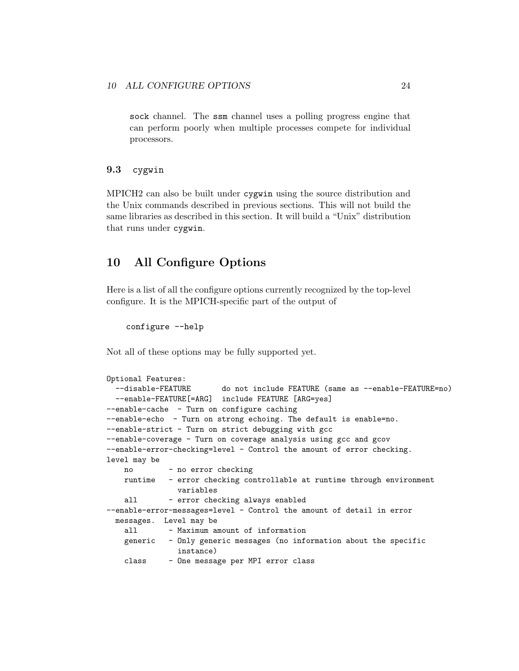<span id="page-26-0"></span>sock channel. The ssm channel uses a polling progress engine that can perform poorly when multiple processes compete for individual processors.

# 9.3 cygwin

MPICH2 can also be built under cygwin using the source distribution and the Unix commands described in previous sections. This will not build the same libraries as described in this section. It will build a "Unix" distribution that runs under cygwin.

# 10 All Configure Options

Here is a list of all the configure options currently recognized by the top-level configure. It is the MPICH-specific part of the output of

```
configure --help
```
Not all of these options may be fully supported yet.

```
Optional Features:
  --disable-FEATURE do not include FEATURE (same as --enable-FEATURE=no)
  --enable-FEATURE[=ARG] include FEATURE [ARG=yes]
--enable-cache - Turn on configure caching
--enable-echo - Turn on strong echoing. The default is enable=no.
--enable-strict - Turn on strict debugging with gcc
--enable-coverage - Turn on coverage analysis using gcc and gcov
--enable-error-checking=level - Control the amount of error checking.
level may be
   no - no error checking
   runtime - error checking controllable at runtime through environment
              variables
   all - error checking always enabled
--enable-error-messages=level - Control the amount of detail in error
 messages. Level may be
   all - Maximum amount of information
   generic - Only generic messages (no information about the specific
               instance)
   class - One message per MPI error class
```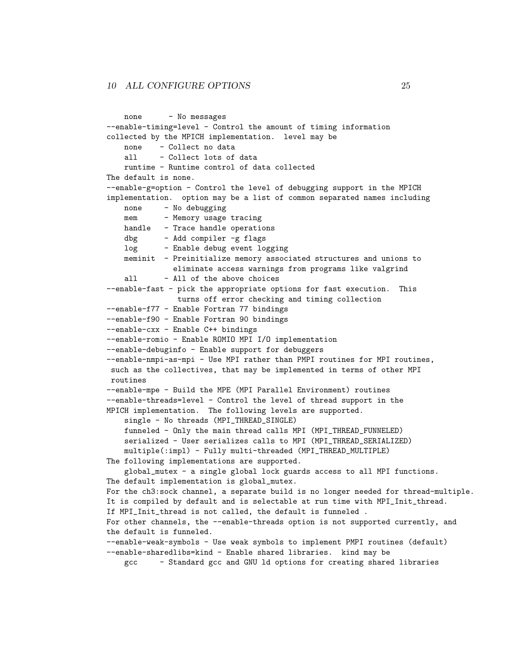```
none - No messages
--enable-timing=level - Control the amount of timing information
collected by the MPICH implementation. level may be
   none - Collect no data
   all - Collect lots of data
   runtime - Runtime control of data collected
The default is none.
--enable-g=option - Control the level of debugging support in the MPICH
implementation. option may be a list of common separated names including
   none - No debugging
   mem - Memory usage tracing
   handle - Trace handle operations
   dbg - Add compiler -g flags
   log - Enable debug event logging
   meminit - Preinitialize memory associated structures and unions to
              eliminate access warnings from programs like valgrind
   all - All of the above choices
--enable-fast - pick the appropriate options for fast execution. This
               turns off error checking and timing collection
--enable-f77 - Enable Fortran 77 bindings
--enable-f90 - Enable Fortran 90 bindings
--enable-cxx - Enable C++ bindings
--enable-romio - Enable ROMIO MPI I/O implementation
--enable-debuginfo - Enable support for debuggers
--enable-nmpi-as-mpi - Use MPI rather than PMPI routines for MPI routines,
such as the collectives, that may be implemented in terms of other MPI
routines
--enable-mpe - Build the MPE (MPI Parallel Environment) routines
--enable-threads=level - Control the level of thread support in the
MPICH implementation. The following levels are supported.
    single - No threads (MPI_THREAD_SINGLE)
   funneled - Only the main thread calls MPI (MPI_THREAD_FUNNELED)
   serialized - User serializes calls to MPI (MPI_THREAD_SERIALIZED)
   multiple(:impl) - Fully multi-threaded (MPI_THREAD_MULTIPLE)
The following implementations are supported.
   global_mutex - a single global lock guards access to all MPI functions.
The default implementation is global_mutex.
For the ch3:sock channel, a separate build is no longer needed for thread-multiple.
It is compiled by default and is selectable at run time with MPI_Init_thread.
If MPI_Init_thread is not called, the default is funneled .
For other channels, the --enable-threads option is not supported currently, and
the default is funneled.
--enable-weak-symbols - Use weak symbols to implement PMPI routines (default)
--enable-sharedlibs=kind - Enable shared libraries. kind may be
    gcc - Standard gcc and GNU ld options for creating shared libraries
```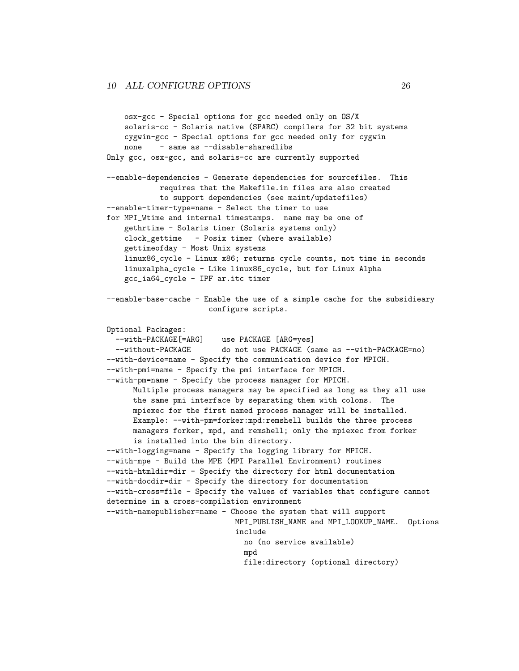```
osx-gcc - Special options for gcc needed only on OS/X
    solaris-cc - Solaris native (SPARC) compilers for 32 bit systems
    cygwin-gcc - Special options for gcc needed only for cygwin
    none - same as --disable-sharedlibs
Only gcc, osx-gcc, and solaris-cc are currently supported
--enable-dependencies - Generate dependencies for sourcefiles. This
            requires that the Makefile.in files are also created
            to support dependencies (see maint/updatefiles)
--enable-timer-type=name - Select the timer to use
for MPI_Wtime and internal timestamps. name may be one of
    gethrtime - Solaris timer (Solaris systems only)
    clock_gettime - Posix timer (where available)
    gettimeofday - Most Unix systems
    linux86_cycle - Linux x86; returns cycle counts, not time in seconds
    linuxalpha_cycle - Like linux86_cycle, but for Linux Alpha
    gcc_ia64_cycle - IPF ar.itc timer
--enable-base-cache - Enable the use of a simple cache for the subsidieary
                       configure scripts.
Optional Packages:
  --with-PACKAGE[=ARG] use PACKAGE [ARG=yes]
  --without-PACKAGE do not use PACKAGE (same as --with-PACKAGE=no)
--with-device=name - Specify the communication device for MPICH.
--with-pmi=name - Specify the pmi interface for MPICH.
--with-pm=name - Specify the process manager for MPICH.
      Multiple process managers may be specified as long as they all use
      the same pmi interface by separating them with colons. The
      mpiexec for the first named process manager will be installed.
      Example: --with-pm=forker:mpd:remshell builds the three process
      managers forker, mpd, and remshell; only the mpiexec from forker
      is installed into the bin directory.
--with-logging=name - Specify the logging library for MPICH.
--with-mpe - Build the MPE (MPI Parallel Environment) routines
--with-htmldir=dir - Specify the directory for html documentation
--with-docdir=dir - Specify the directory for documentation
--with-cross=file - Specify the values of variables that configure cannot
determine in a cross-compilation environment
--with-namepublisher=name - Choose the system that will support
                            MPI_PUBLISH_NAME and MPI_LOOKUP_NAME. Options
                             include
                               no (no service available)
                               mpd
                               file:directory (optional directory)
```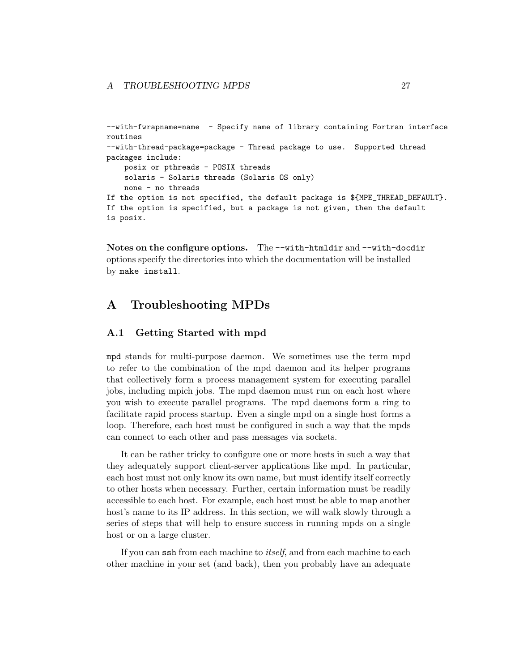```
--with-fwrapname=name - Specify name of library containing Fortran interface
routines
--with-thread-package=package - Thread package to use. Supported thread
packages include:
    posix or pthreads - POSIX threads
    solaris - Solaris threads (Solaris OS only)
    none - no threads
If the option is not specified, the default package is ${MPE_THREAD_DEFAULT}.
If the option is specified, but a package is not given, then the default
is posix.
```
Notes on the configure options. The --with-htmldir and --with-docdir options specify the directories into which the documentation will be installed by make install.

# A Troubleshooting MPDs

# A.1 Getting Started with mpd

mpd stands for multi-purpose daemon. We sometimes use the term mpd to refer to the combination of the mpd daemon and its helper programs that collectively form a process management system for executing parallel jobs, including mpich jobs. The mpd daemon must run on each host where you wish to execute parallel programs. The mpd daemons form a ring to facilitate rapid process startup. Even a single mpd on a single host forms a loop. Therefore, each host must be configured in such a way that the mpds can connect to each other and pass messages via sockets.

It can be rather tricky to configure one or more hosts in such a way that they adequately support client-server applications like mpd. In particular, each host must not only know its own name, but must identify itself correctly to other hosts when necessary. Further, certain information must be readily accessible to each host. For example, each host must be able to map another host's name to its IP address. In this section, we will walk slowly through a series of steps that will help to ensure success in running mpds on a single host or on a large cluster.

If you can ssh from each machine to *itself*, and from each machine to each other machine in your set (and back), then you probably have an adequate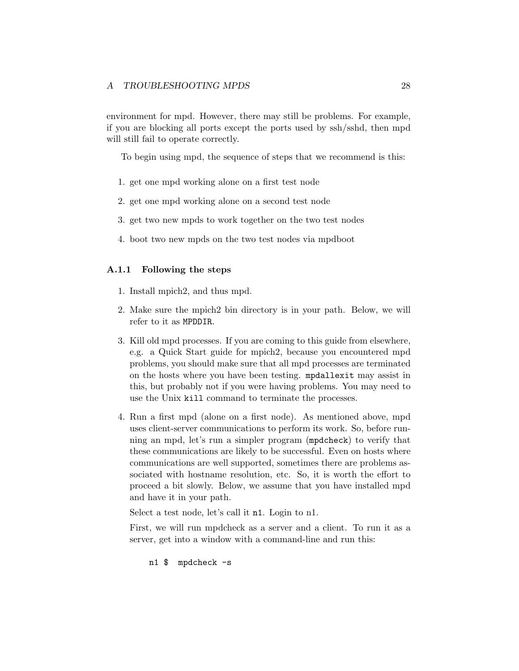<span id="page-30-0"></span>environment for mpd. However, there may still be problems. For example, if you are blocking all ports except the ports used by ssh/sshd, then mpd will still fail to operate correctly.

To begin using mpd, the sequence of steps that we recommend is this:

- 1. get one mpd working alone on a first test node
- 2. get one mpd working alone on a second test node
- 3. get two new mpds to work together on the two test nodes
- 4. boot two new mpds on the two test nodes via mpdboot

### A.1.1 Following the steps

- 1. Install mpich2, and thus mpd.
- 2. Make sure the mpich2 bin directory is in your path. Below, we will refer to it as MPDDIR.
- 3. Kill old mpd processes. If you are coming to this guide from elsewhere, e.g. a Quick Start guide for mpich2, because you encountered mpd problems, you should make sure that all mpd processes are terminated on the hosts where you have been testing. mpdallexit may assist in this, but probably not if you were having problems. You may need to use the Unix kill command to terminate the processes.
- 4. Run a first mpd (alone on a first node). As mentioned above, mpd uses client-server communications to perform its work. So, before running an mpd, let's run a simpler program (mpdcheck) to verify that these communications are likely to be successful. Even on hosts where communications are well supported, sometimes there are problems associated with hostname resolution, etc. So, it is worth the effort to proceed a bit slowly. Below, we assume that you have installed mpd and have it in your path.

Select a test node, let's call it n1. Login to n1.

First, we will run mpdcheck as a server and a client. To run it as a server, get into a window with a command-line and run this:

n1 \$ mpdcheck -s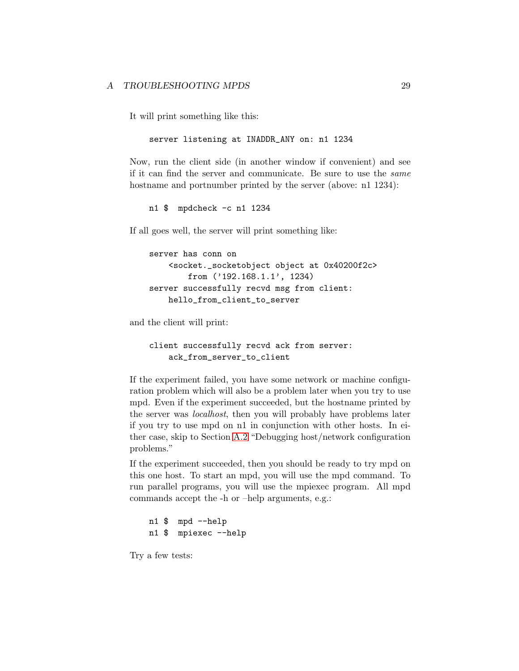It will print something like this:

```
server listening at INADDR_ANY on: n1 1234
```
Now, run the client side (in another window if convenient) and see if it can find the server and communicate. Be sure to use the same hostname and portnumber printed by the server (above: n1 1234):

n1 \$ mpdcheck -c n1 1234

If all goes well, the server will print something like:

```
server has conn on
    <socket._socketobject object at 0x40200f2c>
        from ('192.168.1.1', 1234)
server successfully recvd msg from client:
    hello_from_client_to_server
```
and the client will print:

```
client successfully recvd ack from server:
    ack_from_server_to_client
```
If the experiment failed, you have some network or machine configuration problem which will also be a problem later when you try to use mpd. Even if the experiment succeeded, but the hostname printed by the server was localhost, then you will probably have problems later if you try to use mpd on n1 in conjunction with other hosts. In either case, skip to Section [A.2](#page-35-0) "Debugging host/network configuration problems."

If the experiment succeeded, then you should be ready to try mpd on this one host. To start an mpd, you will use the mpd command. To run parallel programs, you will use the mpiexec program. All mpd commands accept the -h or –help arguments, e.g.:

n1 \$ mpd --help n1 \$ mpiexec --help

Try a few tests: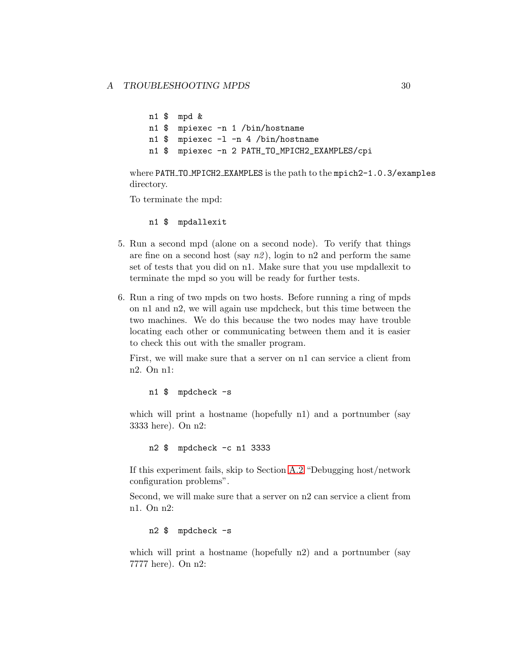```
n1 $ mpd &
n1 $ mpiexec -n 1 /bin/hostname
n1 $ mpiexec -l -n 4 /bin/hostname
n1 $ mpiexec -n 2 PATH_TO_MPICH2_EXAMPLES/cpi
```
where PATH\_TO\_MPICH2\_EXAMPLES is the path to the mpich2-1.0.3/examples directory.

To terminate the mpd:

n1 \$ mpdallexit

- 5. Run a second mpd (alone on a second node). To verify that things are fine on a second host (say  $n\ell$ ), login to n2 and perform the same set of tests that you did on n1. Make sure that you use mpdallexit to terminate the mpd so you will be ready for further tests.
- 6. Run a ring of two mpds on two hosts. Before running a ring of mpds on n1 and n2, we will again use mpdcheck, but this time between the two machines. We do this because the two nodes may have trouble locating each other or communicating between them and it is easier to check this out with the smaller program.

First, we will make sure that a server on n1 can service a client from n2. On n1:

n1 \$ mpdcheck -s

which will print a hostname (hopefully n1) and a portnumber (say 3333 here). On n2:

n2 \$ mpdcheck -c n1 3333

If this experiment fails, skip to Section [A.2](#page-35-0) "Debugging host/network configuration problems".

Second, we will make sure that a server on n2 can service a client from n1. On n2:

n2 \$ mpdcheck -s

which will print a hostname (hopefully n2) and a portnumber (say 7777 here). On n2: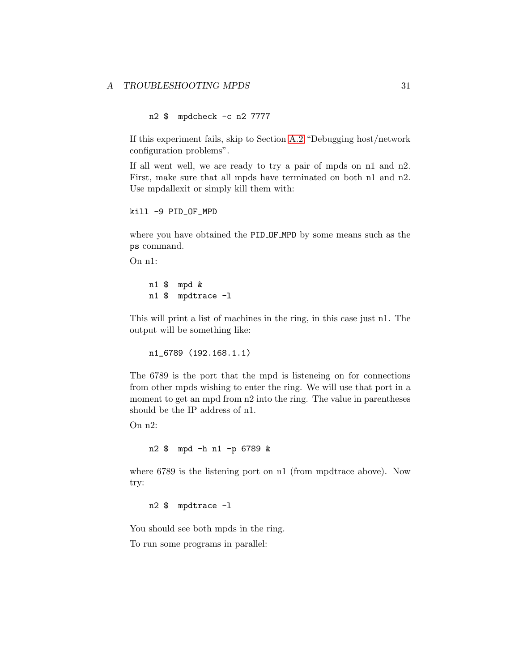n2 \$ mpdcheck -c n2 7777

If this experiment fails, skip to Section [A.2](#page-35-0) "Debugging host/network configuration problems".

If all went well, we are ready to try a pair of mpds on n1 and n2. First, make sure that all mpds have terminated on both n1 and n2. Use mpdallexit or simply kill them with:

```
kill -9 PID_OF_MPD
```
where you have obtained the PID OF MPD by some means such as the ps command.

On n1:

n1 \$ mpd & n1 \$ mpdtrace -l

This will print a list of machines in the ring, in this case just n1. The output will be something like:

n1\_6789 (192.168.1.1)

The 6789 is the port that the mpd is listeneing on for connections from other mpds wishing to enter the ring. We will use that port in a moment to get an mpd from n2 into the ring. The value in parentheses should be the IP address of n1.

On n2:

n2 \$ mpd -h n1 -p 6789 &

where 6789 is the listening port on n1 (from mpdtrace above). Now try:

n2 \$ mpdtrace -l

You should see both mpds in the ring. To run some programs in parallel: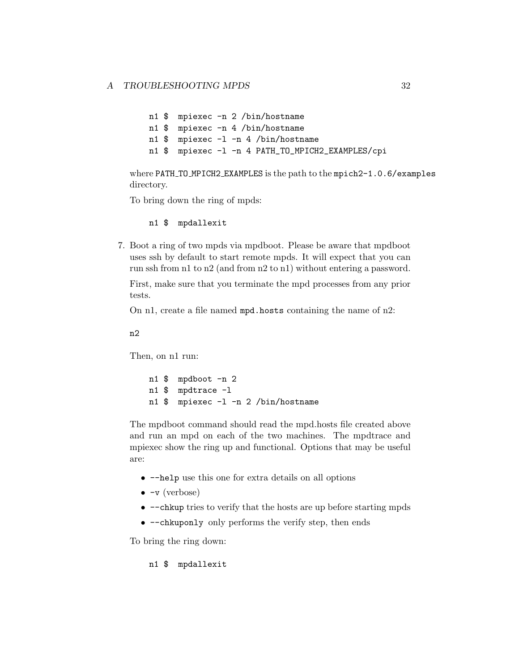n1 \$ mpiexec -n 2 /bin/hostname n1 \$ mpiexec -n 4 /bin/hostname n1 \$ mpiexec -l -n 4 /bin/hostname n1 \$ mpiexec -l -n 4 PATH\_TO\_MPICH2\_EXAMPLES/cpi

where PATH\_TO\_MPICH2\_EXAMPLES is the path to the mpich2-1.0.6/examples directory.

To bring down the ring of mpds:

n1 \$ mpdallexit

7. Boot a ring of two mpds via mpdboot. Please be aware that mpdboot uses ssh by default to start remote mpds. It will expect that you can run ssh from n1 to n2 (and from n2 to n1) without entering a password.

First, make sure that you terminate the mpd processes from any prior tests.

On n1, create a file named mpd.hosts containing the name of n2:

n2

Then, on n1 run:

n1 \$ mpdboot -n 2 n1 \$ mpdtrace -l n1 \$ mpiexec -l -n 2 /bin/hostname

The mpdboot command should read the mpd.hosts file created above and run an mpd on each of the two machines. The mpdtrace and mpiexec show the ring up and functional. Options that may be useful are:

- $-\text{help}$  use this one for extra details on all options
- $\bullet$   $\neg$  (verbose)
- $\nightharpoonup$  --chkup tries to verify that the hosts are up before starting mpds
- $--$ chkuponly only performs the verify step, then ends

To bring the ring down:

n1 \$ mpdallexit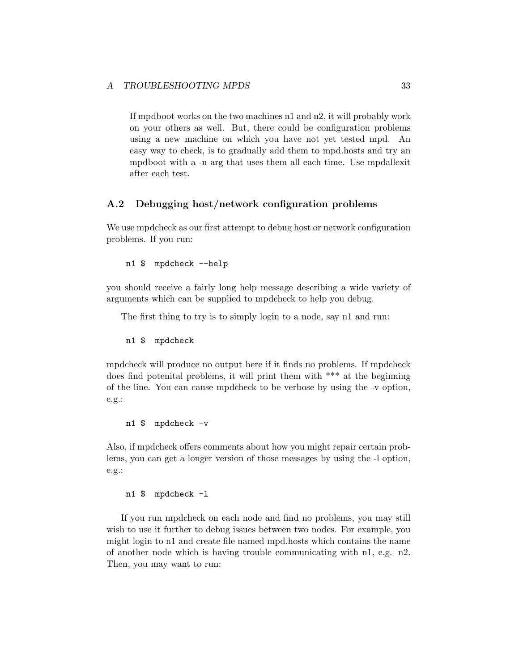<span id="page-35-0"></span>If mpdboot works on the two machines n1 and n2, it will probably work on your others as well. But, there could be configuration problems using a new machine on which you have not yet tested mpd. An easy way to check, is to gradually add them to mpd.hosts and try an mpdboot with a -n arg that uses them all each time. Use mpdallexit after each test.

### A.2 Debugging host/network configuration problems

We use mpdcheck as our first attempt to debug host or network configuration problems. If you run:

```
n1 $ mpdcheck --help
```
you should receive a fairly long help message describing a wide variety of arguments which can be supplied to mpdcheck to help you debug.

The first thing to try is to simply login to a node, say n1 and run:

#### n1 \$ mpdcheck

mpdcheck will produce no output here if it finds no problems. If mpdcheck does find potenital problems, it will print them with \*\*\* at the beginning of the line. You can cause mpdcheck to be verbose by using the -v option, e.g.:

n1 \$ mpdcheck -v

Also, if mpdcheck offers comments about how you might repair certain problems, you can get a longer version of those messages by using the -l option, e.g.:

#### n1 \$ mpdcheck -l

If you run mpdcheck on each node and find no problems, you may still wish to use it further to debug issues between two nodes. For example, you might login to n1 and create file named mpd.hosts which contains the name of another node which is having trouble communicating with n1, e.g. n2. Then, you may want to run: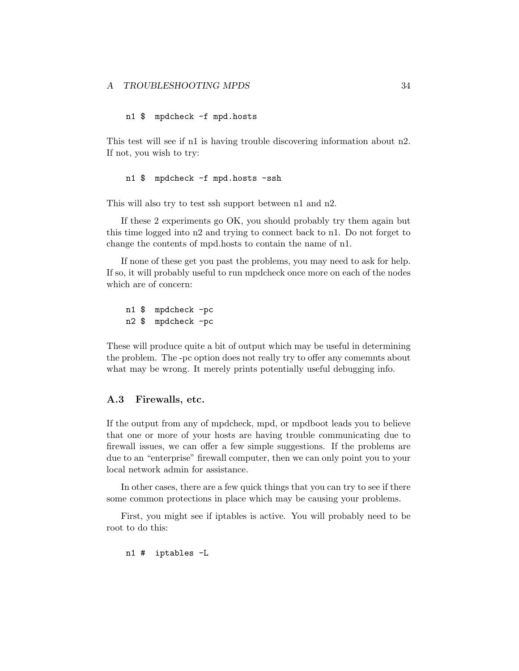# <span id="page-36-0"></span>n1 \$ mpdcheck -f mpd.hosts

This test will see if n1 is having trouble discovering information about n2. If not, you wish to try:

#### n1 \$ mpdcheck -f mpd.hosts -ssh

This will also try to test ssh support between n1 and n2.

If these 2 experiments go OK, you should probably try them again but this time logged into n2 and trying to connect back to n1. Do not forget to change the contents of mpd.hosts to contain the name of n1.

If none of these get you past the problems, you may need to ask for help. If so, it will probably useful to run mpdcheck once more on each of the nodes which are of concern:

n1 \$ mpdcheck -pc n2 \$ mpdcheck -pc

These will produce quite a bit of output which may be useful in determining the problem. The -pc option does not really try to offer any comemnts about what may be wrong. It merely prints potentially useful debugging info.

#### A.3 Firewalls, etc.

If the output from any of mpdcheck, mpd, or mpdboot leads you to believe that one or more of your hosts are having trouble communicating due to firewall issues, we can offer a few simple suggestions. If the problems are due to an "enterprise" firewall computer, then we can only point you to your local network admin for assistance.

In other cases, there are a few quick things that you can try to see if there some common protections in place which may be causing your problems.

First, you might see if iptables is active. You will probably need to be root to do this:

n1 # iptables -L